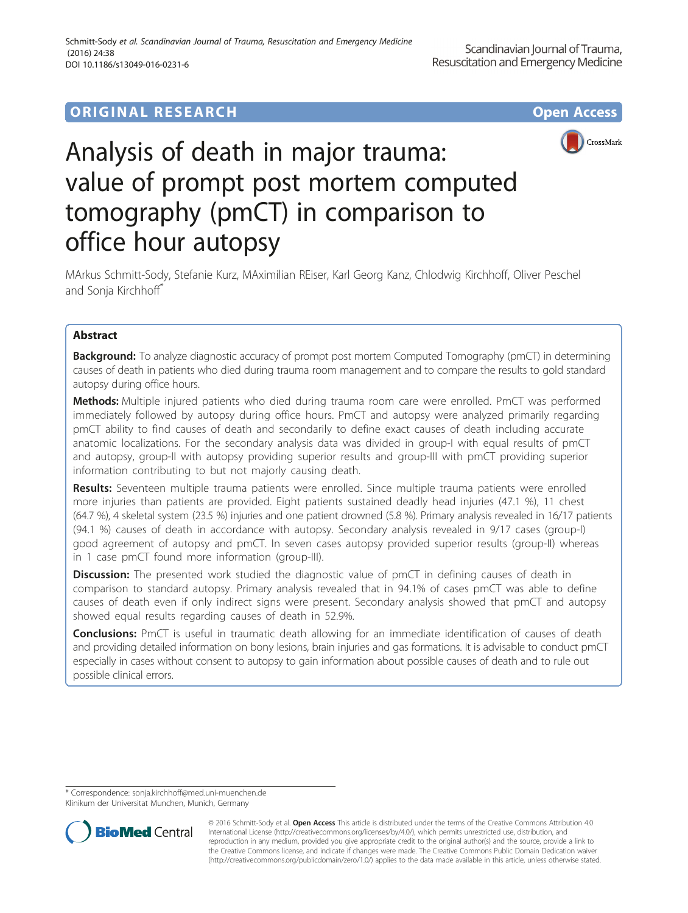# **ORIGINAL RESEARCH CONSUMING ACCESS**





# Analysis of death in major trauma: value of prompt post mortem computed tomography (pmCT) in comparison to office hour autopsy

MArkus Schmitt-Sody, Stefanie Kurz, MAximilian REiser, Karl Georg Kanz, Chlodwig Kirchhoff, Oliver Peschel and Sonja Kirchhoff\*

# Abstract

**Background:** To analyze diagnostic accuracy of prompt post mortem Computed Tomography (pmCT) in determining causes of death in patients who died during trauma room management and to compare the results to gold standard autopsy during office hours.

Methods: Multiple injured patients who died during trauma room care were enrolled. PmCT was performed immediately followed by autopsy during office hours. PmCT and autopsy were analyzed primarily regarding pmCT ability to find causes of death and secondarily to define exact causes of death including accurate anatomic localizations. For the secondary analysis data was divided in group-I with equal results of pmCT and autopsy, group-II with autopsy providing superior results and group-III with pmCT providing superior information contributing to but not majorly causing death.

Results: Seventeen multiple trauma patients were enrolled. Since multiple trauma patients were enrolled more injuries than patients are provided. Eight patients sustained deadly head injuries (47.1 %), 11 chest (64.7 %), 4 skeletal system (23.5 %) injuries and one patient drowned (5.8 %). Primary analysis revealed in 16/17 patients (94.1 %) causes of death in accordance with autopsy. Secondary analysis revealed in 9/17 cases (group-I) good agreement of autopsy and pmCT. In seven cases autopsy provided superior results (group-II) whereas in 1 case pmCT found more information (group-III).

**Discussion:** The presented work studied the diagnostic value of pmCT in defining causes of death in comparison to standard autopsy. Primary analysis revealed that in 94.1% of cases pmCT was able to define causes of death even if only indirect signs were present. Secondary analysis showed that pmCT and autopsy showed equal results regarding causes of death in 52.9%.

**Conclusions:** PmCT is useful in traumatic death allowing for an immediate identification of causes of death and providing detailed information on bony lesions, brain injuries and gas formations. It is advisable to conduct pmCT especially in cases without consent to autopsy to gain information about possible causes of death and to rule out possible clinical errors.

\* Correspondence: [sonja.kirchhoff@med.uni-muenchen.de](mailto:sonja.kirchhoff@med.uni-muenchen.de)

Klinikum der Universitat Munchen, Munich, Germany



© 2016 Schmitt-Sody et al. Open Access This article is distributed under the terms of the Creative Commons Attribution 4.0 International License [\(http://creativecommons.org/licenses/by/4.0/](http://creativecommons.org/licenses/by/4.0/)), which permits unrestricted use, distribution, and reproduction in any medium, provided you give appropriate credit to the original author(s) and the source, provide a link to the Creative Commons license, and indicate if changes were made. The Creative Commons Public Domain Dedication waiver [\(http://creativecommons.org/publicdomain/zero/1.0/](http://creativecommons.org/publicdomain/zero/1.0/)) applies to the data made available in this article, unless otherwise stated.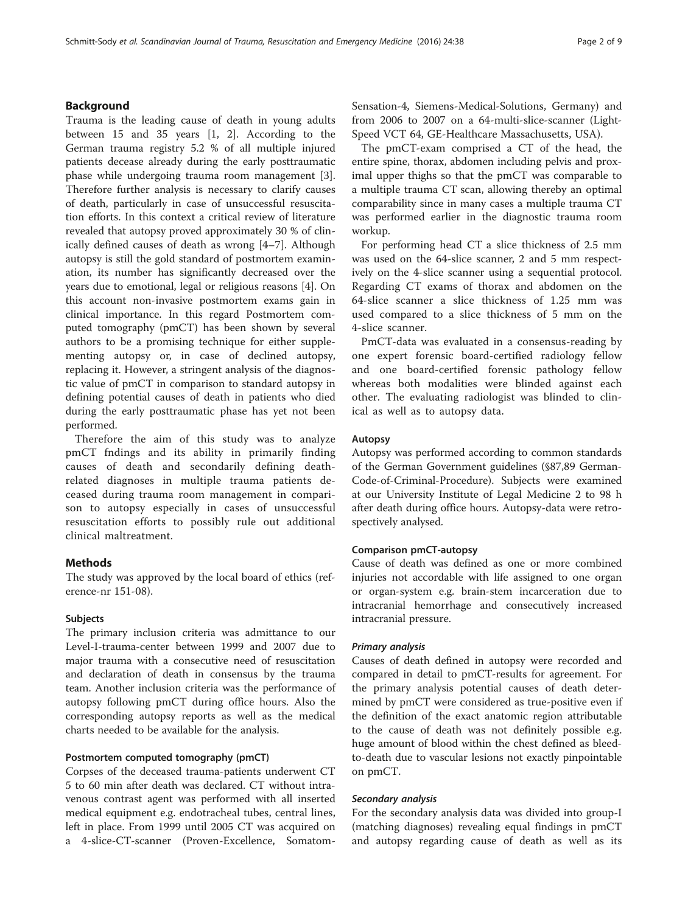# Background

Trauma is the leading cause of death in young adults between 15 and 35 years [[1, 2](#page-7-0)]. According to the German trauma registry 5.2 % of all multiple injured patients decease already during the early posttraumatic phase while undergoing trauma room management [\[3](#page-7-0)]. Therefore further analysis is necessary to clarify causes of death, particularly in case of unsuccessful resuscitation efforts. In this context a critical review of literature revealed that autopsy proved approximately 30 % of clinically defined causes of death as wrong [\[4](#page-7-0)–[7](#page-7-0)]. Although autopsy is still the gold standard of postmortem examination, its number has significantly decreased over the years due to emotional, legal or religious reasons [\[4](#page-7-0)]. On this account non-invasive postmortem exams gain in clinical importance. In this regard Postmortem computed tomography (pmCT) has been shown by several authors to be a promising technique for either supplementing autopsy or, in case of declined autopsy, replacing it. However, a stringent analysis of the diagnostic value of pmCT in comparison to standard autopsy in defining potential causes of death in patients who died during the early posttraumatic phase has yet not been performed.

Therefore the aim of this study was to analyze pmCT fndings and its ability in primarily finding causes of death and secondarily defining deathrelated diagnoses in multiple trauma patients deceased during trauma room management in comparison to autopsy especially in cases of unsuccessful resuscitation efforts to possibly rule out additional clinical maltreatment.

# **Methods**

The study was approved by the local board of ethics (reference-nr 151-08).

#### Subjects

The primary inclusion criteria was admittance to our Level-I-trauma-center between 1999 and 2007 due to major trauma with a consecutive need of resuscitation and declaration of death in consensus by the trauma team. Another inclusion criteria was the performance of autopsy following pmCT during office hours. Also the corresponding autopsy reports as well as the medical charts needed to be available for the analysis.

#### Postmortem computed tomography (pmCT)

Corpses of the deceased trauma-patients underwent CT 5 to 60 min after death was declared. CT without intravenous contrast agent was performed with all inserted medical equipment e.g. endotracheal tubes, central lines, left in place. From 1999 until 2005 CT was acquired on a 4-slice-CT-scanner (Proven-Excellence, SomatomSensation-4, Siemens-Medical-Solutions, Germany) and from 2006 to 2007 on a 64-multi-slice-scanner (Light-Speed VCT 64, GE-Healthcare Massachusetts, USA).

The pmCT-exam comprised a CT of the head, the entire spine, thorax, abdomen including pelvis and proximal upper thighs so that the pmCT was comparable to a multiple trauma CT scan, allowing thereby an optimal comparability since in many cases a multiple trauma CT was performed earlier in the diagnostic trauma room workup.

For performing head CT a slice thickness of 2.5 mm was used on the 64-slice scanner, 2 and 5 mm respectively on the 4-slice scanner using a sequential protocol. Regarding CT exams of thorax and abdomen on the 64-slice scanner a slice thickness of 1.25 mm was used compared to a slice thickness of 5 mm on the 4-slice scanner.

PmCT-data was evaluated in a consensus-reading by one expert forensic board-certified radiology fellow and one board-certified forensic pathology fellow whereas both modalities were blinded against each other. The evaluating radiologist was blinded to clinical as well as to autopsy data.

#### Autopsy

Autopsy was performed according to common standards of the German Government guidelines (§87,89 German-Code-of-Criminal-Procedure). Subjects were examined at our University Institute of Legal Medicine 2 to 98 h after death during office hours. Autopsy-data were retrospectively analysed.

#### Comparison pmCT-autopsy

Cause of death was defined as one or more combined injuries not accordable with life assigned to one organ or organ-system e.g. brain-stem incarceration due to intracranial hemorrhage and consecutively increased intracranial pressure.

#### Primary analysis

Causes of death defined in autopsy were recorded and compared in detail to pmCT-results for agreement. For the primary analysis potential causes of death determined by pmCT were considered as true-positive even if the definition of the exact anatomic region attributable to the cause of death was not definitely possible e.g. huge amount of blood within the chest defined as bleedto-death due to vascular lesions not exactly pinpointable on pmCT.

#### Secondary analysis

For the secondary analysis data was divided into group-I (matching diagnoses) revealing equal findings in pmCT and autopsy regarding cause of death as well as its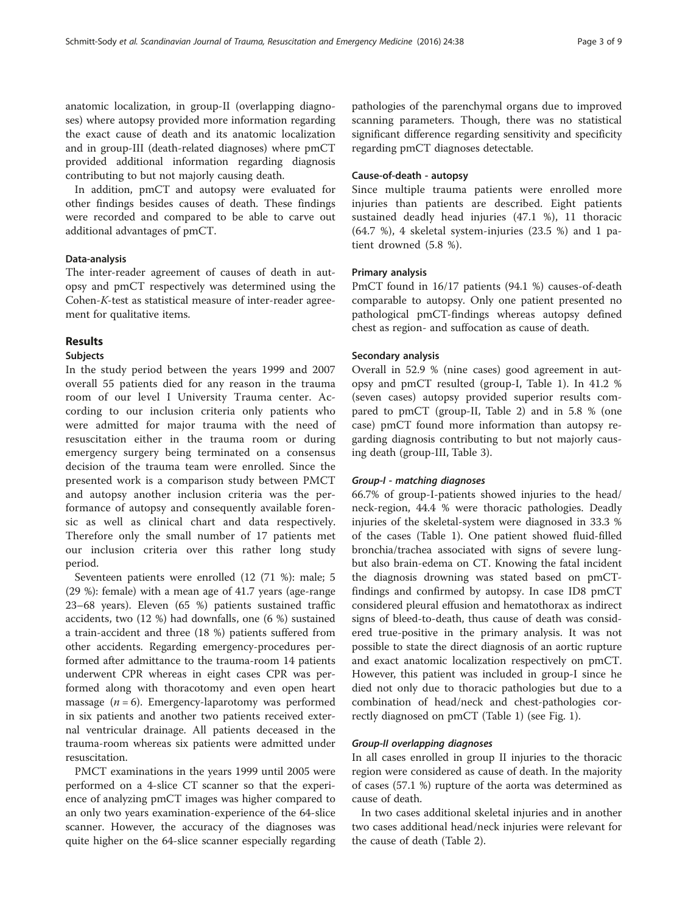anatomic localization, in group-II (overlapping diagnoses) where autopsy provided more information regarding the exact cause of death and its anatomic localization and in group-III (death-related diagnoses) where pmCT provided additional information regarding diagnosis contributing to but not majorly causing death.

In addition, pmCT and autopsy were evaluated for other findings besides causes of death. These findings were recorded and compared to be able to carve out additional advantages of pmCT.

#### Data-analysis

The inter-reader agreement of causes of death in autopsy and pmCT respectively was determined using the Cohen-K-test as statistical measure of inter-reader agreement for qualitative items.

# Results

### **Subjects**

In the study period between the years 1999 and 2007 overall 55 patients died for any reason in the trauma room of our level I University Trauma center. According to our inclusion criteria only patients who were admitted for major trauma with the need of resuscitation either in the trauma room or during emergency surgery being terminated on a consensus decision of the trauma team were enrolled. Since the presented work is a comparison study between PMCT and autopsy another inclusion criteria was the performance of autopsy and consequently available forensic as well as clinical chart and data respectively. Therefore only the small number of 17 patients met our inclusion criteria over this rather long study period.

Seventeen patients were enrolled (12 (71 %): male; 5 (29 %): female) with a mean age of 41.7 years (age-range 23–68 years). Eleven (65 %) patients sustained traffic accidents, two (12 %) had downfalls, one (6 %) sustained a train-accident and three (18 %) patients suffered from other accidents. Regarding emergency-procedures performed after admittance to the trauma-room 14 patients underwent CPR whereas in eight cases CPR was performed along with thoracotomy and even open heart massage  $(n = 6)$ . Emergency-laparotomy was performed in six patients and another two patients received external ventricular drainage. All patients deceased in the trauma-room whereas six patients were admitted under resuscitation.

PMCT examinations in the years 1999 until 2005 were performed on a 4-slice CT scanner so that the experience of analyzing pmCT images was higher compared to an only two years examination-experience of the 64-slice scanner. However, the accuracy of the diagnoses was quite higher on the 64-slice scanner especially regarding

pathologies of the parenchymal organs due to improved scanning parameters. Though, there was no statistical significant difference regarding sensitivity and specificity regarding pmCT diagnoses detectable.

#### Cause-of-death - autopsy

Since multiple trauma patients were enrolled more injuries than patients are described. Eight patients sustained deadly head injuries (47.1 %), 11 thoracic (64.7 %), 4 skeletal system-injuries (23.5 %) and 1 patient drowned (5.8 %).

#### Primary analysis

PmCT found in 16/17 patients (94.1 %) causes-of-death comparable to autopsy. Only one patient presented no pathological pmCT-findings whereas autopsy defined chest as region- and suffocation as cause of death.

#### Secondary analysis

Overall in 52.9 % (nine cases) good agreement in autopsy and pmCT resulted (group-I, Table [1](#page-3-0)). In 41.2 % (seven cases) autopsy provided superior results compared to pmCT (group-II, Table [2](#page-3-0)) and in 5.8 % (one case) pmCT found more information than autopsy regarding diagnosis contributing to but not majorly causing death (group-III, Table [3\)](#page-4-0).

#### Group-I - matching diagnoses

66.7% of group-I-patients showed injuries to the head/ neck-region, 44.4 % were thoracic pathologies. Deadly injuries of the skeletal-system were diagnosed in 33.3 % of the cases (Table [1\)](#page-3-0). One patient showed fluid-filled bronchia/trachea associated with signs of severe lungbut also brain-edema on CT. Knowing the fatal incident the diagnosis drowning was stated based on pmCTfindings and confirmed by autopsy. In case ID8 pmCT considered pleural effusion and hematothorax as indirect signs of bleed-to-death, thus cause of death was considered true-positive in the primary analysis. It was not possible to state the direct diagnosis of an aortic rupture and exact anatomic localization respectively on pmCT. However, this patient was included in group-I since he died not only due to thoracic pathologies but due to a combination of head/neck and chest-pathologies correctly diagnosed on pmCT (Table [1\)](#page-3-0) (see Fig. [1\)](#page-4-0).

#### Group-II overlapping diagnoses

In all cases enrolled in group II injuries to the thoracic region were considered as cause of death. In the majority of cases (57.1 %) rupture of the aorta was determined as cause of death.

In two cases additional skeletal injuries and in another two cases additional head/neck injuries were relevant for the cause of death (Table [2](#page-3-0)).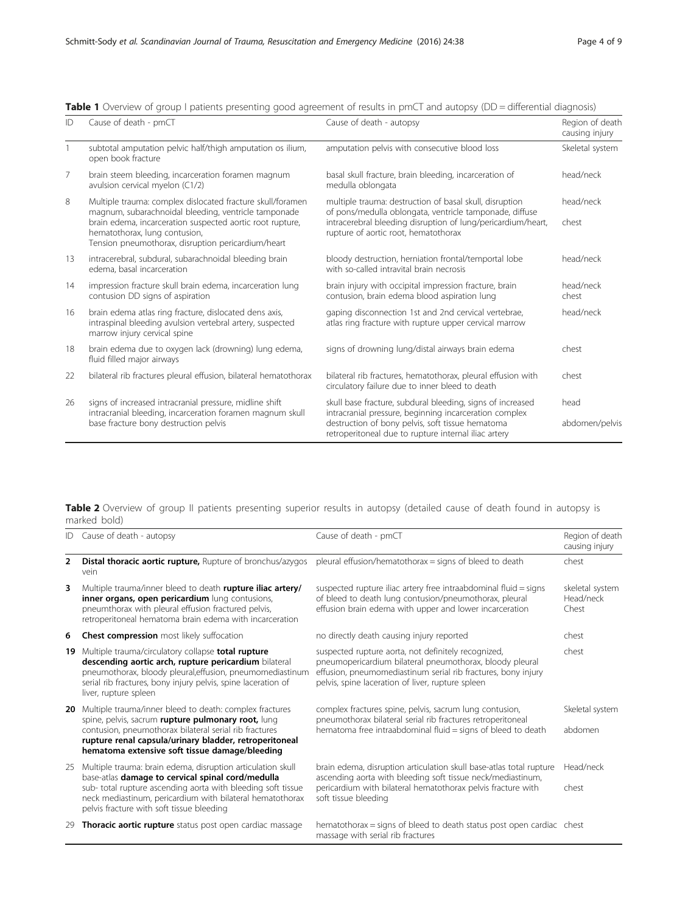| ID             | Cause of death - pmCT                                                                                                                                                                                                                                                  | Cause of death - autopsy                                                                                                                                                                                                         | Region of death<br>causing injury |
|----------------|------------------------------------------------------------------------------------------------------------------------------------------------------------------------------------------------------------------------------------------------------------------------|----------------------------------------------------------------------------------------------------------------------------------------------------------------------------------------------------------------------------------|-----------------------------------|
|                | subtotal amputation pelvic half/thigh amputation os ilium,<br>open book fracture                                                                                                                                                                                       | amputation pelvis with consecutive blood loss                                                                                                                                                                                    | Skeletal system                   |
| $\overline{7}$ | brain steem bleeding, incarceration foramen magnum<br>avulsion cervical myelon (C1/2)                                                                                                                                                                                  | basal skull fracture, brain bleeding, incarceration of<br>medulla oblongata                                                                                                                                                      | head/neck                         |
| 8              | Multiple trauma: complex dislocated fracture skull/foramen<br>magnum, subarachnoidal bleeding, ventricle tamponade<br>brain edema, incarceration suspected aortic root rupture,<br>hematothorax, lung contusion,<br>Tension pneumothorax, disruption pericardium/heart | multiple trauma: destruction of basal skull, disruption<br>of pons/medulla oblongata, ventricle tamponade, diffuse<br>intracerebral bleeding disruption of lung/pericardium/heart,<br>rupture of aortic root, hematothorax       | head/neck<br>chest                |
| 13             | intracerebral, subdural, subarachnoidal bleeding brain<br>edema, basal incarceration                                                                                                                                                                                   | bloody destruction, herniation frontal/temportal lobe<br>with so-called intravital brain necrosis                                                                                                                                | head/neck                         |
| 14             | impression fracture skull brain edema, incarceration lung<br>contusion DD signs of aspiration                                                                                                                                                                          | brain injury with occipital impression fracture, brain<br>contusion, brain edema blood aspiration lung                                                                                                                           | head/neck<br>chest                |
| 16             | brain edema atlas ring fracture, dislocated dens axis,<br>intraspinal bleeding avulsion vertebral artery, suspected<br>marrow injury cervical spine                                                                                                                    | gaping disconnection 1st and 2nd cervical vertebrae,<br>atlas ring fracture with rupture upper cervical marrow                                                                                                                   | head/neck                         |
| 18             | brain edema due to oxygen lack (drowning) lung edema,<br>fluid filled major airways                                                                                                                                                                                    | signs of drowning lung/distal airways brain edema                                                                                                                                                                                | chest                             |
| 22             | bilateral rib fractures pleural effusion, bilateral hematothorax                                                                                                                                                                                                       | bilateral rib fractures, hematothorax, pleural effusion with<br>circulatory failure due to inner bleed to death                                                                                                                  | chest                             |
| 26             | signs of increased intracranial pressure, midline shift<br>intracranial bleeding, incarceration foramen magnum skull<br>base fracture bony destruction pelvis                                                                                                          | skull base fracture, subdural bleeding, signs of increased<br>intracranial pressure, beginning incarceration complex<br>destruction of bony pelvis, soft tissue hematoma<br>retroperitoneal due to rupture internal iliac artery | head<br>abdomen/pelvis            |

<span id="page-3-0"></span>

|  | Table 1 Overview of group I patients presenting good agreement of results in pmCT and autopsy (DD = differential diagnosis) |
|--|-----------------------------------------------------------------------------------------------------------------------------|
|  |                                                                                                                             |

Table 2 Overview of group II patients presenting superior results in autopsy (detailed cause of death found in autopsy is marked bold)

| ID             | Cause of death - autopsy                                                                                                                                                                                                                                                                   | Cause of death - pmCT                                                                                                                                                                                                                 | Region of death<br>causing injury     |
|----------------|--------------------------------------------------------------------------------------------------------------------------------------------------------------------------------------------------------------------------------------------------------------------------------------------|---------------------------------------------------------------------------------------------------------------------------------------------------------------------------------------------------------------------------------------|---------------------------------------|
| $\overline{2}$ | <b>Distal thoracic aortic rupture, Rupture of bronchus/azygos</b><br>vein                                                                                                                                                                                                                  | pleural effusion/hematothorax = signs of bleed to death                                                                                                                                                                               | chest                                 |
| 3              | Multiple trauma/inner bleed to death rupture iliac artery/<br>inner organs, open pericardium lung contusions,<br>pneumthorax with pleural effusion fractured pelvis,<br>retroperitoneal hematoma brain edema with incarceration                                                            | suspected rupture iliac artery free intraabdominal fluid = signs<br>of bleed to death lung contusion/pneumothorax, pleural<br>effusion brain edema with upper and lower incarceration                                                 | skeletal system<br>Head/neck<br>Chest |
| 6              | <b>Chest compression</b> most likely suffocation                                                                                                                                                                                                                                           | no directly death causing injury reported                                                                                                                                                                                             | chest                                 |
| 19             | Multiple trauma/circulatory collapse total rupture<br>descending aortic arch, rupture pericardium bilateral<br>pneumothorax, bloody pleural, effusion, pneumomediastinum<br>serial rib fractures, bony injury pelvis, spine laceration of<br>liver, rupture spleen                         | suspected rupture aorta, not definitely recognized,<br>pneumopericardium bilateral pneumothorax, bloody pleural<br>effusion, pneumomediastinum serial rib fractures, bony injury<br>pelvis, spine laceration of liver, rupture spleen | chest                                 |
| 20             | Multiple trauma/inner bleed to death: complex fractures<br>spine, pelvis, sacrum rupture pulmonary root, lung<br>contusion, pneumothorax bilateral serial rib fractures<br>rupture renal capsula/urinary bladder, retroperitoneal<br>hematoma extensive soft tissue damage/bleeding        | complex fractures spine, pelvis, sacrum lung contusion,<br>pneumothorax bilateral serial rib fractures retroperitoneal<br>hematoma free intraabdominal fluid = signs of bleed to death                                                | Skeletal system<br>abdomen            |
| 25             | Multiple trauma: brain edema, disruption articulation skull<br>base-atlas damage to cervical spinal cord/medulla<br>sub- total rupture ascending aorta with bleeding soft tissue<br>neck mediastinum, pericardium with bilateral hematothorax<br>pelvis fracture with soft tissue bleeding | brain edema, disruption articulation skull base-atlas total rupture<br>ascending aorta with bleeding soft tissue neck/mediastinum,<br>pericardium with bilateral hematothorax pelvis fracture with<br>soft tissue bleeding            | Head/neck<br>chest                    |
| 29             | Thoracic aortic rupture status post open cardiac massage                                                                                                                                                                                                                                   | hematothorax = signs of bleed to death status post open cardiac chest<br>massage with serial rib fractures                                                                                                                            |                                       |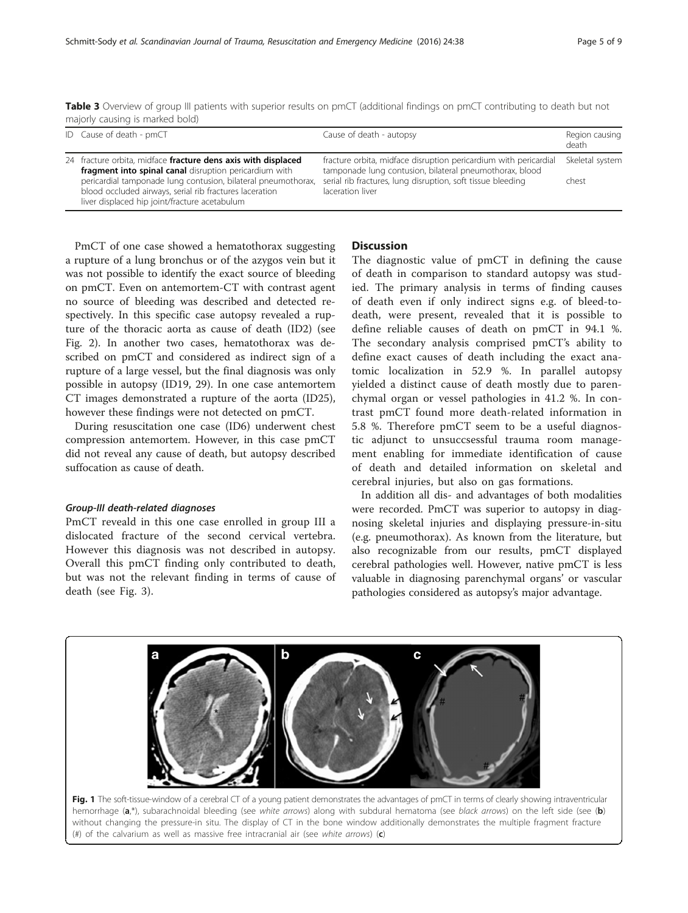<span id="page-4-0"></span>Table 3 Overview of group III patients with superior results on pmCT (additional findings on pmCT contributing to death but not majorly causing is marked bold)

| ID Cause of death - pmCT                                                                                                                                                  | Cause of death - autopsy                                                                                                    | Region causing<br>death |  |  |  |  |
|---------------------------------------------------------------------------------------------------------------------------------------------------------------------------|-----------------------------------------------------------------------------------------------------------------------------|-------------------------|--|--|--|--|
| 24 fracture orbita, midface fracture dens axis with displaced<br>fragment into spinal canal disruption pericardium with                                                   | fracture orbita, midface disruption pericardium with pericardial<br>tamponade lung contusion, bilateral pneumothorax, blood | Skeletal system         |  |  |  |  |
| pericardial tamponade lung contusion, bilateral pneumothorax,<br>blood occluded airways, serial rib fractures laceration<br>liver displaced hip joint/fracture acetabulum | serial rib fractures, lung disruption, soft tissue bleeding<br>laceration liver                                             | chest                   |  |  |  |  |

PmCT of one case showed a hematothorax suggesting a rupture of a lung bronchus or of the azygos vein but it was not possible to identify the exact source of bleeding on pmCT. Even on antemortem-CT with contrast agent no source of bleeding was described and detected respectively. In this specific case autopsy revealed a rupture of the thoracic aorta as cause of death (ID2) (see Fig. [2\)](#page-5-0). In another two cases, hematothorax was described on pmCT and considered as indirect sign of a rupture of a large vessel, but the final diagnosis was only possible in autopsy (ID19, 29). In one case antemortem CT images demonstrated a rupture of the aorta (ID25), however these findings were not detected on pmCT.

During resuscitation one case (ID6) underwent chest compression antemortem. However, in this case pmCT did not reveal any cause of death, but autopsy described suffocation as cause of death.

#### Group-III death-related diagnoses

PmCT reveald in this one case enrolled in group III a dislocated fracture of the second cervical vertebra. However this diagnosis was not described in autopsy. Overall this pmCT finding only contributed to death, but was not the relevant finding in terms of cause of death (see Fig. [3](#page-5-0)).

#### **Discussion**

The diagnostic value of pmCT in defining the cause of death in comparison to standard autopsy was studied. The primary analysis in terms of finding causes of death even if only indirect signs e.g. of bleed-todeath, were present, revealed that it is possible to define reliable causes of death on pmCT in 94.1 %. The secondary analysis comprised pmCT's ability to define exact causes of death including the exact anatomic localization in 52.9 %. In parallel autopsy yielded a distinct cause of death mostly due to parenchymal organ or vessel pathologies in 41.2 %. In contrast pmCT found more death-related information in 5.8 %. Therefore pmCT seem to be a useful diagnostic adjunct to unsuccsessful trauma room management enabling for immediate identification of cause of death and detailed information on skeletal and cerebral injuries, but also on gas formations.

In addition all dis- and advantages of both modalities were recorded. PmCT was superior to autopsy in diagnosing skeletal injuries and displaying pressure-in-situ (e.g. pneumothorax). As known from the literature, but also recognizable from our results, pmCT displayed cerebral pathologies well. However, native pmCT is less valuable in diagnosing parenchymal organs' or vascular pathologies considered as autopsy's major advantage.



Fig. 1 The soft-tissue-window of a cerebral CT of a young patient demonstrates the advantages of pmCT in terms of clearly showing intraventricular hemorrhage (a,\*), subarachnoidal bleeding (see white arrows) along with subdural hematoma (see black arrows) on the left side (see (b) without changing the pressure-in situ. The display of CT in the bone window additionally demonstrates the multiple fragment fracture (#) of the calvarium as well as massive free intracranial air (see white arrows)  $(c)$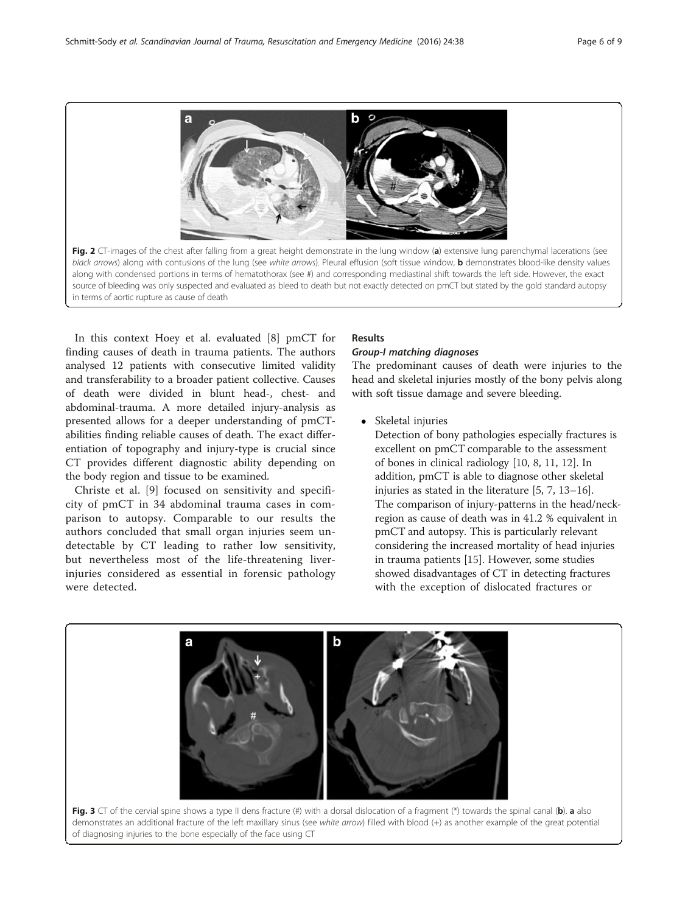<span id="page-5-0"></span>

In this context Hoey et al. evaluated [\[8](#page-7-0)] pmCT for finding causes of death in trauma patients. The authors analysed 12 patients with consecutive limited validity and transferability to a broader patient collective. Causes of death were divided in blunt head-, chest- and abdominal-trauma. A more detailed injury-analysis as presented allows for a deeper understanding of pmCTabilities finding reliable causes of death. The exact differentiation of topography and injury-type is crucial since CT provides different diagnostic ability depending on the body region and tissue to be examined.

Christe et al. [\[9](#page-7-0)] focused on sensitivity and specificity of pmCT in 34 abdominal trauma cases in comparison to autopsy. Comparable to our results the authors concluded that small organ injuries seem undetectable by CT leading to rather low sensitivity, but nevertheless most of the life-threatening liverinjuries considered as essential in forensic pathology were detected.

# Results

#### Group-I matching diagnoses

The predominant causes of death were injuries to the head and skeletal injuries mostly of the bony pelvis along with soft tissue damage and severe bleeding.

Skeletal injuries

Detection of bony pathologies especially fractures is excellent on pmCT comparable to the assessment of bones in clinical radiology [\[10,](#page-7-0) [8,](#page-7-0) [11](#page-7-0), [12\]](#page-7-0). In addition, pmCT is able to diagnose other skeletal injuries as stated in the literature [\[5,](#page-7-0) [7,](#page-7-0) [13](#page-7-0)–[16\]](#page-7-0). The comparison of injury-patterns in the head/neckregion as cause of death was in 41.2 % equivalent in pmCT and autopsy. This is particularly relevant considering the increased mortality of head injuries in trauma patients [[15](#page-7-0)]. However, some studies showed disadvantages of CT in detecting fractures with the exception of dislocated fractures or



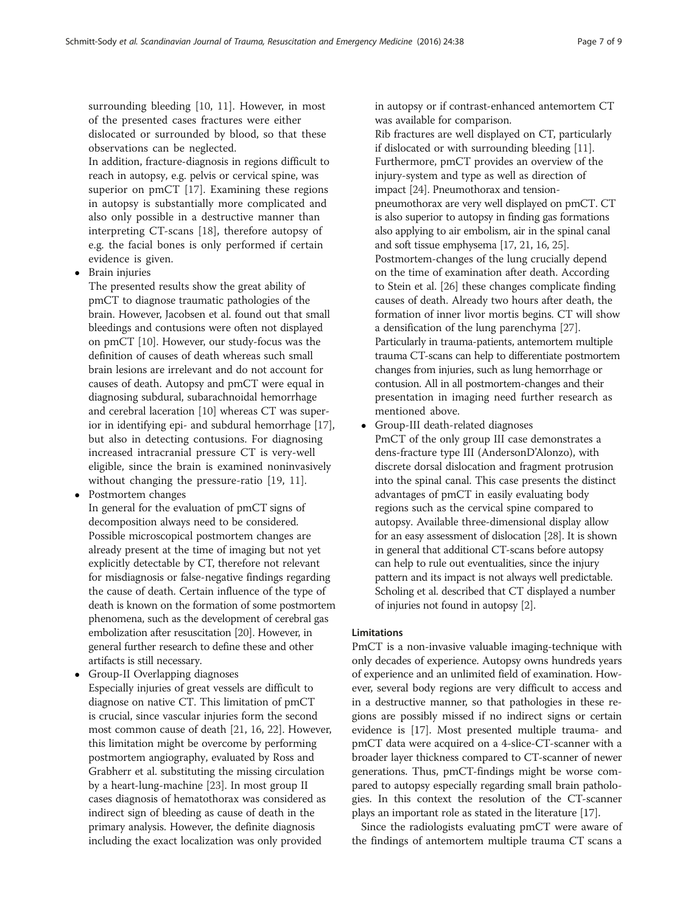In addition, fracture-diagnosis in regions difficult to reach in autopsy, e.g. pelvis or cervical spine, was superior on pmCT [[17\]](#page-7-0). Examining these regions in autopsy is substantially more complicated and also only possible in a destructive manner than interpreting CT-scans [[18\]](#page-7-0), therefore autopsy of e.g. the facial bones is only performed if certain evidence is given.

• Brain injuries

The presented results show the great ability of pmCT to diagnose traumatic pathologies of the brain. However, Jacobsen et al. found out that small bleedings and contusions were often not displayed on pmCT [[10](#page-7-0)]. However, our study-focus was the definition of causes of death whereas such small brain lesions are irrelevant and do not account for causes of death. Autopsy and pmCT were equal in diagnosing subdural, subarachnoidal hemorrhage and cerebral laceration [[10](#page-7-0)] whereas CT was superior in identifying epi- and subdural hemorrhage [\[17\]](#page-7-0), but also in detecting contusions. For diagnosing increased intracranial pressure CT is very-well eligible, since the brain is examined noninvasively without changing the pressure-ratio [[19](#page-7-0), [11](#page-7-0)].

• Postmortem changes

- In general for the evaluation of pmCT signs of decomposition always need to be considered. Possible microscopical postmortem changes are already present at the time of imaging but not yet explicitly detectable by CT, therefore not relevant for misdiagnosis or false-negative findings regarding the cause of death. Certain influence of the type of death is known on the formation of some postmortem phenomena, such as the development of cerebral gas embolization after resuscitation [\[20](#page-7-0)]. However, in general further research to define these and other artifacts is still necessary.
- Group-II Overlapping diagnoses Especially injuries of great vessels are difficult to diagnose on native CT. This limitation of pmCT is crucial, since vascular injuries form the second most common cause of death [\[21,](#page-7-0) [16,](#page-7-0) [22](#page-7-0)]. However, this limitation might be overcome by performing postmortem angiography, evaluated by Ross and Grabherr et al. substituting the missing circulation by a heart-lung-machine [[23](#page-7-0)]. In most group II cases diagnosis of hematothorax was considered as indirect sign of bleeding as cause of death in the primary analysis. However, the definite diagnosis including the exact localization was only provided

in autopsy or if contrast-enhanced antemortem CT was available for comparison.

Rib fractures are well displayed on CT, particularly if dislocated or with surrounding bleeding [\[11\]](#page-7-0). Furthermore, pmCT provides an overview of the injury-system and type as well as direction of impact [\[24\]](#page-8-0). Pneumothorax and tensionpneumothorax are very well displayed on pmCT. CT is also superior to autopsy in finding gas formations also applying to air embolism, air in the spinal canal and soft tissue emphysema [[17](#page-7-0), [21](#page-7-0), [16](#page-7-0), [25\]](#page-8-0). Postmortem-changes of the lung crucially depend on the time of examination after death. According to Stein et al. [\[26\]](#page-8-0) these changes complicate finding causes of death. Already two hours after death, the formation of inner livor mortis begins. CT will show a densification of the lung parenchyma [[27](#page-8-0)]. Particularly in trauma-patients, antemortem multiple trauma CT-scans can help to differentiate postmortem changes from injuries, such as lung hemorrhage or contusion. All in all postmortem-changes and their presentation in imaging need further research as mentioned above.

 Group-III death-related diagnoses PmCT of the only group III case demonstrates a dens-fracture type III (AndersonD'Alonzo), with discrete dorsal dislocation and fragment protrusion into the spinal canal. This case presents the distinct advantages of pmCT in easily evaluating body regions such as the cervical spine compared to autopsy. Available three-dimensional display allow for an easy assessment of dislocation [\[28](#page-8-0)]. It is shown in general that additional CT-scans before autopsy can help to rule out eventualities, since the injury pattern and its impact is not always well predictable. Scholing et al. described that CT displayed a number of injuries not found in autopsy [\[2\]](#page-7-0).

# Limitations

PmCT is a non-invasive valuable imaging-technique with only decades of experience. Autopsy owns hundreds years of experience and an unlimited field of examination. However, several body regions are very difficult to access and in a destructive manner, so that pathologies in these regions are possibly missed if no indirect signs or certain evidence is [[17](#page-7-0)]. Most presented multiple trauma- and pmCT data were acquired on a 4-slice-CT-scanner with a broader layer thickness compared to CT-scanner of newer generations. Thus, pmCT-findings might be worse compared to autopsy especially regarding small brain pathologies. In this context the resolution of the CT-scanner plays an important role as stated in the literature [\[17\]](#page-7-0).

Since the radiologists evaluating pmCT were aware of the findings of antemortem multiple trauma CT scans a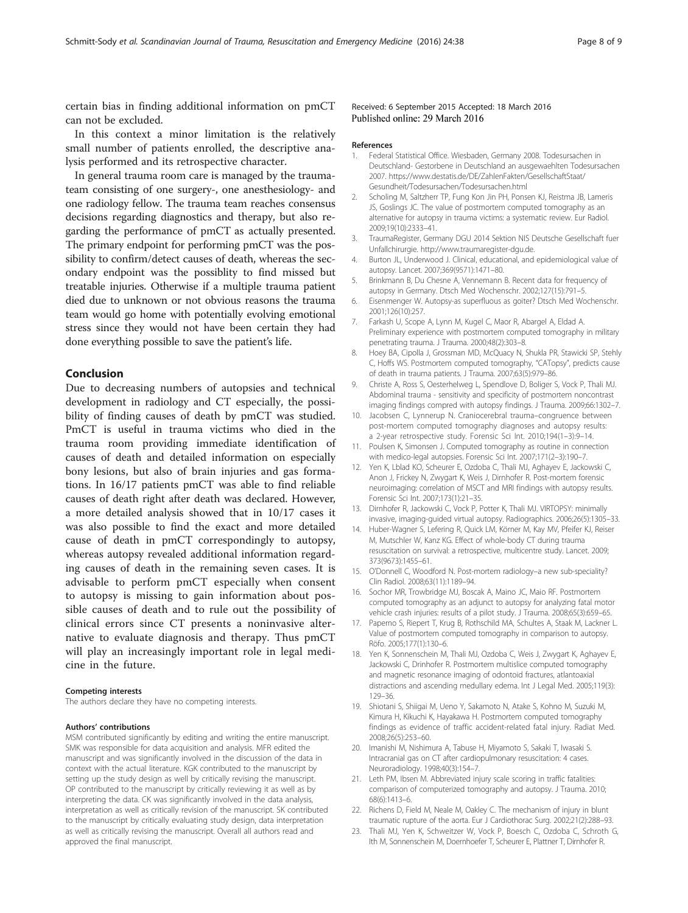<span id="page-7-0"></span>certain bias in finding additional information on pmCT can not be excluded.

In this context a minor limitation is the relatively small number of patients enrolled, the descriptive analysis performed and its retrospective character.

In general trauma room care is managed by the traumateam consisting of one surgery-, one anesthesiology- and one radiology fellow. The trauma team reaches consensus decisions regarding diagnostics and therapy, but also regarding the performance of pmCT as actually presented. The primary endpoint for performing pmCT was the possibility to confirm/detect causes of death, whereas the secondary endpoint was the possiblity to find missed but treatable injuries. Otherwise if a multiple trauma patient died due to unknown or not obvious reasons the trauma team would go home with potentially evolving emotional stress since they would not have been certain they had done everything possible to save the patient's life.

### Conclusion

Due to decreasing numbers of autopsies and technical development in radiology and CT especially, the possibility of finding causes of death by pmCT was studied. PmCT is useful in trauma victims who died in the trauma room providing immediate identification of causes of death and detailed information on especially bony lesions, but also of brain injuries and gas formations. In 16/17 patients pmCT was able to find reliable causes of death right after death was declared. However, a more detailed analysis showed that in 10/17 cases it was also possible to find the exact and more detailed cause of death in pmCT correspondingly to autopsy, whereas autopsy revealed additional information regarding causes of death in the remaining seven cases. It is advisable to perform pmCT especially when consent to autopsy is missing to gain information about possible causes of death and to rule out the possibility of clinical errors since CT presents a noninvasive alternative to evaluate diagnosis and therapy. Thus pmCT will play an increasingly important role in legal medicine in the future.

#### Competing interests

The authors declare they have no competing interests.

#### Authors' contributions

MSM contributed significantly by editing and writing the entire manuscript. SMK was responsible for data acquisition and analysis. MFR edited the manuscript and was significantly involved in the discussion of the data in context with the actual literature. KGK contributed to the manuscript by setting up the study design as well by critically revising the manuscript. OP contributed to the manuscript by critically reviewing it as well as by interpreting the data. CK was significantly involved in the data analysis, interpretation as well as critically revision of the manuscript. SK contributed to the manuscript by critically evaluating study design, data interpretation as well as critically revising the manuscript. Overall all authors read and approved the final manuscript.

#### Received: 6 September 2015 Accepted: 18 March 2016 Published online: 29 March 2016

#### References

- 1. Federal Statistical Office. Wiesbaden, Germany 2008. Todesursachen in Deutschland- Gestorbene in Deutschland an ausgewaehlten Todesursachen 2007. [https://www.destatis.de/DE/ZahlenFakten/GesellschaftStaat/](https://www.destatis.de/DE/ZahlenFakten/GesellschaftStaat/Gesundheit/Todesursachen/Todesursachen.html) [Gesundheit/Todesursachen/Todesursachen.html](https://www.destatis.de/DE/ZahlenFakten/GesellschaftStaat/Gesundheit/Todesursachen/Todesursachen.html)
- 2. Scholing M, Saltzherr TP, Fung Kon Jin PH, Ponsen KJ, Reistma JB, Lameris JS, Goslings JC. The value of postmortem computed tomography as an alternative for autopsy in trauma victims: a systematic review. Eur Radiol. 2009;19(10):2333–41.
- 3. TraumaRegister, Germany DGU 2014 Sektion NIS Deutsche Gesellschaft fuer Unfallchirurgie. [http://www.traumaregister-dgu.de.](http://www.traumaregister-dgu.de)
- 4. Burton JL, Underwood J. Clinical, educational, and epidemiological value of autopsy. Lancet. 2007;369(9571):1471–80.
- 5. Brinkmann B, Du Chesne A, Vennemann B. Recent data for frequency of autopsy in Germany. Dtsch Med Wochenschr. 2002;127(15):791–5.
- 6. Eisenmenger W. Autopsy-as superfluous as goiter? Dtsch Med Wochenschr. 2001;126(10):257.
- 7. Farkash U, Scope A, Lynn M, Kugel C, Maor R, Abargel A, Eldad A. Preliminary experience with postmortem computed tomography in military penetrating trauma. J Trauma. 2000;48(2):303–8.
- Hoey BA, Cipolla J, Grossman MD, McQuacy N, Shukla PR, Stawicki SP, Stehly C, Hoffs WS. Postmortem computed tomography, "CATopsy", predicts cause of death in trauma patients. J Trauma. 2007;63(5):979–86.
- 9. Christe A, Ross S, Oesterhelweg L, Spendlove D, Boliger S, Vock P, Thali MJ. Abdominal trauma - sensitivity and specificity of postmortem noncontrast imaging findings compred with autopsy findings. J Trauma. 2009;66:1302–7.
- 10. Jacobsen C, Lynnerup N. Craniocerebral trauma–congruence between post-mortem computed tomography diagnoses and autopsy results: a 2-year retrospective study. Forensic Sci Int. 2010;194(1–3):9–14.
- 11. Poulsen K, Simonsen J. Computed tomography as routine in connection with medico-legal autopsies. Forensic Sci Int. 2007;171(2–3):190–7.
- 12. Yen K, Lblad KO, Scheurer E, Ozdoba C, Thali MJ, Aghayev E, Jackowski C, Anon J, Frickey N, Zwygart K, Weis J, Dirnhofer R. Post-mortem forensic neuroimaging: correlation of MSCT and MRI findings with autopsy results. Forensic Sci Int. 2007;173(1):21–35.
- 13. Dirnhofer R, Jackowski C, Vock P, Potter K, Thali MJ. VIRTOPSY: minimally invasive, imaging-guided virtual autopsy. Radiographics. 2006;26(5):1305–33.
- 14. Huber-Wagner S, Lefering R, Quick LM, Körner M, Kay MV, Pfeifer KJ, Reiser M, Mutschler W, Kanz KG. Effect of whole-body CT during trauma resuscitation on survival: a retrospective, multicentre study. Lancet. 2009; 373(9673):1455–61.
- 15. O'Donnell C, Woodford N. Post-mortem radiology–a new sub-speciality? Clin Radiol. 2008;63(11):1189–94.
- 16. Sochor MR, Trowbridge MJ, Boscak A, Maino JC, Maio RF. Postmortem computed tomography as an adjunct to autopsy for analyzing fatal motor vehicle crash injuries: results of a pilot study. J Trauma. 2008;65(3):659–65.
- 17. Paperno S, Riepert T, Krug B, Rothschild MA, Schultes A, Staak M, Lackner L. Value of postmortem computed tomography in comparison to autopsy. Röfo. 2005;177(1):130–6.
- 18. Yen K, Sonnenschein M, Thali MJ, Ozdoba C, Weis J, Zwygart K, Aghayev E, Jackowski C, Drinhofer R. Postmortem multislice computed tomography and magnetic resonance imaging of odontoid fractures, atlantoaxial distractions and ascending medullary edema. Int J Legal Med. 2005;119(3): 129–36.
- 19. Shiotani S, Shiigai M, Ueno Y, Sakamoto N, Atake S, Kohno M, Suzuki M, Kimura H, Kikuchi K, Hayakawa H. Postmortem computed tomography findings as evidence of traffic accident-related fatal injury. Radiat Med. 2008;26(5):253–60.
- 20. Imanishi M, Nishimura A, Tabuse H, Miyamoto S, Sakaki T, Iwasaki S. Intracranial gas on CT after cardiopulmonary resuscitation: 4 cases. Neuroradiology. 1998;40(3):154–7.
- 21. Leth PM, Ibsen M. Abbreviated injury scale scoring in traffic fatalities: comparison of computerized tomography and autopsy. J Trauma. 2010; 68(6):1413–6.
- 22. Richens D, Field M, Neale M, Oakley C. The mechanism of injury in blunt traumatic rupture of the aorta. Eur J Cardiothorac Surg. 2002;21(2):288–93.
- 23. Thali MJ, Yen K, Schweitzer W, Vock P, Boesch C, Ozdoba C, Schroth G, Ith M, Sonnenschein M, Doernhoefer T, Scheurer E, Plattner T, Dirnhofer R.